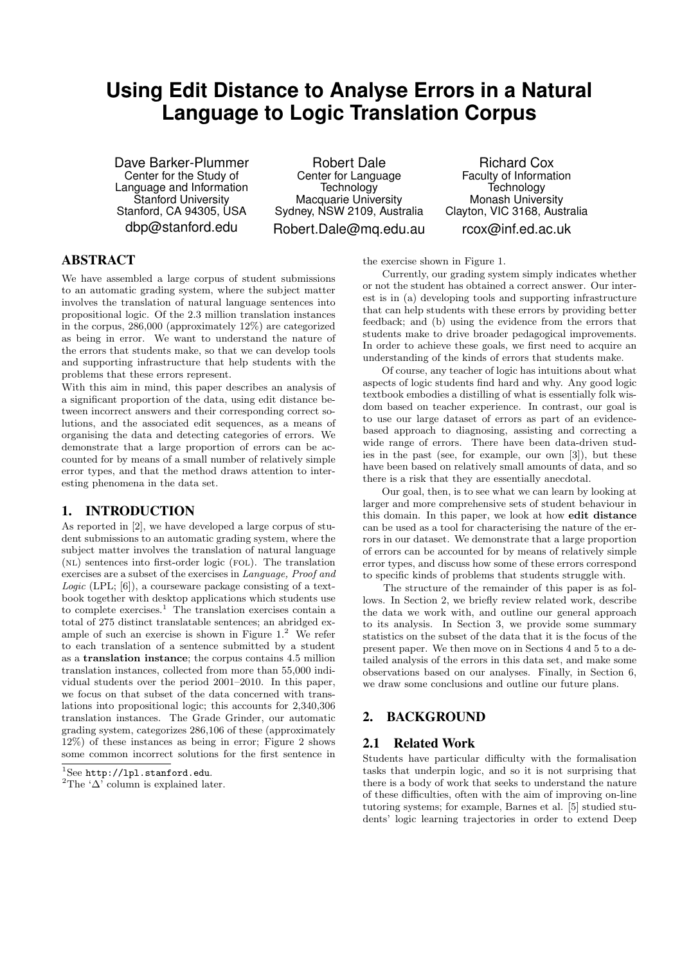# **Using Edit Distance to Analyse Errors in a Natural Language to Logic Translation Corpus**

Dave Barker-Plummer Center for the Study of Language and Information Stanford University Stanford, CA 94305, USA dbp@stanford.edu

Robert Dale Center for Language **Technology** Macquarie University Sydney, NSW 2109, Australia Robert.Dale@mq.edu.au

Richard Cox Faculty of Information **Technology** Monash University Clayton, VIC 3168, Australia rcox@inf.ed.ac.uk

## ABSTRACT

We have assembled a large corpus of student submissions to an automatic grading system, where the subject matter involves the translation of natural language sentences into propositional logic. Of the 2.3 million translation instances in the corpus, 286,000 (approximately 12%) are categorized as being in error. We want to understand the nature of the errors that students make, so that we can develop tools and supporting infrastructure that help students with the problems that these errors represent.

With this aim in mind, this paper describes an analysis of a significant proportion of the data, using edit distance between incorrect answers and their corresponding correct solutions, and the associated edit sequences, as a means of organising the data and detecting categories of errors. We demonstrate that a large proportion of errors can be accounted for by means of a small number of relatively simple error types, and that the method draws attention to interesting phenomena in the data set.

## 1. INTRODUCTION

As reported in [2], we have developed a large corpus of student submissions to an automatic grading system, where the subject matter involves the translation of natural language (nl) sentences into first-order logic (fol). The translation exercises are a subset of the exercises in Language, Proof and Logic (LPL; [6]), a courseware package consisting of a textbook together with desktop applications which students use to complete exercises.<sup>1</sup> The translation exercises contain a total of 275 distinct translatable sentences; an abridged example of such an exercise is shown in Figure  $1<sup>2</sup>$  We refer to each translation of a sentence submitted by a student as a translation instance; the corpus contains 4.5 million translation instances, collected from more than 55,000 individual students over the period 2001–2010. In this paper, we focus on that subset of the data concerned with translations into propositional logic; this accounts for 2,340,306 translation instances. The Grade Grinder, our automatic grading system, categorizes 286,106 of these (approximately 12%) of these instances as being in error; Figure 2 shows some common incorrect solutions for the first sentence in

the exercise shown in Figure 1.

Currently, our grading system simply indicates whether or not the student has obtained a correct answer. Our interest is in (a) developing tools and supporting infrastructure that can help students with these errors by providing better feedback; and (b) using the evidence from the errors that students make to drive broader pedagogical improvements. In order to achieve these goals, we first need to acquire an understanding of the kinds of errors that students make.

Of course, any teacher of logic has intuitions about what aspects of logic students find hard and why. Any good logic textbook embodies a distilling of what is essentially folk wisdom based on teacher experience. In contrast, our goal is to use our large dataset of errors as part of an evidencebased approach to diagnosing, assisting and correcting a wide range of errors. There have been data-driven studies in the past (see, for example, our own [3]), but these have been based on relatively small amounts of data, and so there is a risk that they are essentially anecdotal.

Our goal, then, is to see what we can learn by looking at larger and more comprehensive sets of student behaviour in this domain. In this paper, we look at how edit distance can be used as a tool for characterising the nature of the errors in our dataset. We demonstrate that a large proportion of errors can be accounted for by means of relatively simple error types, and discuss how some of these errors correspond to specific kinds of problems that students struggle with.

The structure of the remainder of this paper is as follows. In Section 2, we briefly review related work, describe the data we work with, and outline our general approach to its analysis. In Section 3, we provide some summary statistics on the subset of the data that it is the focus of the present paper. We then move on in Sections 4 and 5 to a detailed analysis of the errors in this data set, and make some observations based on our analyses. Finally, in Section 6, we draw some conclusions and outline our future plans.

## 2. BACKGROUND

#### 2.1 Related Work

Students have particular difficulty with the formalisation tasks that underpin logic, and so it is not surprising that there is a body of work that seeks to understand the nature of these difficulties, often with the aim of improving on-line tutoring systems; for example, Barnes et al. [5] studied students' logic learning trajectories in order to extend Deep

 ${}^{1}$ See http://lpl.stanford.edu.

<sup>&</sup>lt;sup>2</sup>The ' $\Delta$ ' column is explained later.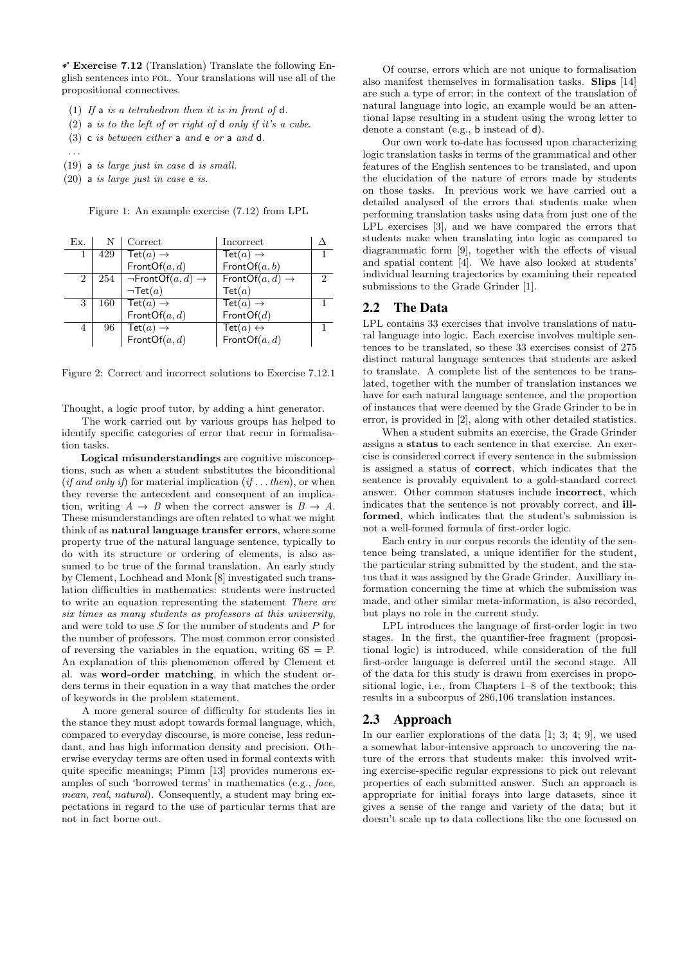$\checkmark$  Exercise 7.12 (Translation) Translate the following English sentences into fol. Your translations will use all of the propositional connectives.

- (1) If a is a tetrahedron then it is in front of  $d$ .
- $(2)$  a is to the left of or right of d only if it's a cube.
- (3) c is between either a and e or a and d.
- . . .
- (19) a is large just in case d is small.
- (20) a is large just in case e is.

Figure 1: An example exercise (7.12) from LPL

| Ex. | N   | Correct                                  | Incorrect                                     |                             |
|-----|-----|------------------------------------------|-----------------------------------------------|-----------------------------|
| 1   | 429 | Tet $(a) \rightarrow$                    | $\textsf{Tet}(a)\to$                          |                             |
|     |     | FrontOf $(a, d)$                         | FrontOf(a, b)                                 |                             |
| 2   | 254 | $\neg$ FrontOf $(a, d) \rightarrow$      | $\overline{\text{FrontOf}(a, d)} \rightarrow$ | $\mathcal{D}_{\mathcal{L}}$ |
|     |     | $\neg$ Tet $(a)$                         | $\textsf{Tet}(a)$                             |                             |
| 3   | 160 | $\overline{\text{Tet}(a)} \rightarrow$   | $\overline{\textsf{Tet}}(a)\to$               |                             |
|     |     | FrontOf $(a, d)$                         | FrontOf(d)                                    |                             |
| 4   | 96  | $\overline{\textsf{Tet}(a)} \rightarrow$ | $\mathsf{Tet}(a) \leftrightarrow$             |                             |
|     |     | FrontOf $(a, d)$                         | FrontOf $(a, d)$                              |                             |

Figure 2: Correct and incorrect solutions to Exercise 7.12.1

Thought, a logic proof tutor, by adding a hint generator.

The work carried out by various groups has helped to identify specific categories of error that recur in formalisation tasks.

Logical misunderstandings are cognitive misconceptions, such as when a student substitutes the biconditional (if and only if) for material implication (if  $\dots$  then), or when they reverse the antecedent and consequent of an implication, writing  $A \rightarrow B$  when the correct answer is  $B \rightarrow A$ . These misunderstandings are often related to what we might think of as natural language transfer errors, where some property true of the natural language sentence, typically to do with its structure or ordering of elements, is also assumed to be true of the formal translation. An early study by Clement, Lochhead and Monk [8] investigated such translation difficulties in mathematics: students were instructed to write an equation representing the statement There are six times as many students as professors at this university, and were told to use  $S$  for the number of students and  $P$  for the number of professors. The most common error consisted of reversing the variables in the equation, writing  $6S = P$ . An explanation of this phenomenon offered by Clement et al. was word-order matching, in which the student orders terms in their equation in a way that matches the order of keywords in the problem statement.

A more general source of difficulty for students lies in the stance they must adopt towards formal language, which, compared to everyday discourse, is more concise, less redundant, and has high information density and precision. Otherwise everyday terms are often used in formal contexts with quite specific meanings; Pimm [13] provides numerous examples of such 'borrowed terms' in mathematics (e.g., face, mean, real, natural). Consequently, a student may bring expectations in regard to the use of particular terms that are not in fact borne out.

Of course, errors which are not unique to formalisation also manifest themselves in formalisation tasks. Slips [14] are such a type of error; in the context of the translation of natural language into logic, an example would be an attentional lapse resulting in a student using the wrong letter to denote a constant (e.g., b instead of d).

Our own work to-date has focussed upon characterizing logic translation tasks in terms of the grammatical and other features of the English sentences to be translated, and upon the elucidation of the nature of errors made by students on those tasks. In previous work we have carried out a detailed analysed of the errors that students make when performing translation tasks using data from just one of the LPL exercises [3], and we have compared the errors that students make when translating into logic as compared to diagrammatic form [9], together with the effects of visual and spatial content [4]. We have also looked at students' individual learning trajectories by examining their repeated submissions to the Grade Grinder [1].

#### 2.2 The Data

LPL contains 33 exercises that involve translations of natural language into logic. Each exercise involves multiple sentences to be translated, so these 33 exercises consist of 275 distinct natural language sentences that students are asked to translate. A complete list of the sentences to be translated, together with the number of translation instances we have for each natural language sentence, and the proportion of instances that were deemed by the Grade Grinder to be in error, is provided in [2], along with other detailed statistics.

When a student submits an exercise, the Grade Grinder assigns a status to each sentence in that exercise. An exercise is considered correct if every sentence in the submission is assigned a status of correct, which indicates that the sentence is provably equivalent to a gold-standard correct answer. Other common statuses include incorrect, which indicates that the sentence is not provably correct, and illformed, which indicates that the student's submission is not a well-formed formula of first-order logic.

Each entry in our corpus records the identity of the sentence being translated, a unique identifier for the student, the particular string submitted by the student, and the status that it was assigned by the Grade Grinder. Auxilliary information concerning the time at which the submission was made, and other similar meta-information, is also recorded, but plays no role in the current study.

LPL introduces the language of first-order logic in two stages. In the first, the quantifier-free fragment (propositional logic) is introduced, while consideration of the full first-order language is deferred until the second stage. All of the data for this study is drawn from exercises in propositional logic, i.e., from Chapters 1–8 of the textbook; this results in a subcorpus of 286,106 translation instances.

#### 2.3 Approach

In our earlier explorations of the data [1; 3; 4; 9], we used a somewhat labor-intensive approach to uncovering the nature of the errors that students make: this involved writing exercise-specific regular expressions to pick out relevant properties of each submitted answer. Such an approach is appropriate for initial forays into large datasets, since it gives a sense of the range and variety of the data; but it doesn't scale up to data collections like the one focussed on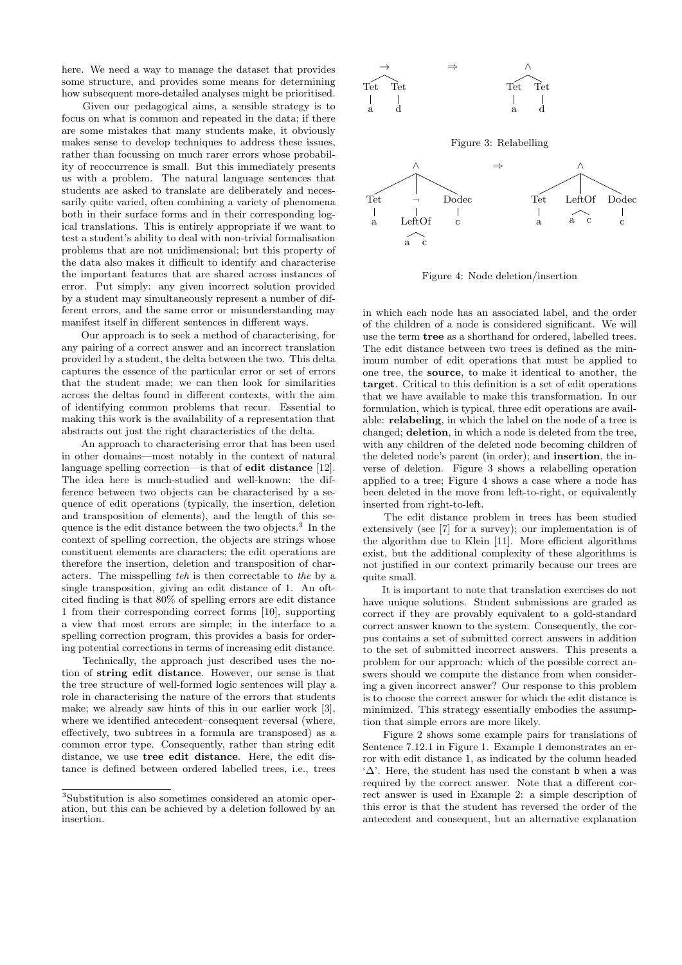here. We need a way to manage the dataset that provides some structure, and provides some means for determining how subsequent more-detailed analyses might be prioritised.

Given our pedagogical aims, a sensible strategy is to focus on what is common and repeated in the data; if there are some mistakes that many students make, it obviously makes sense to develop techniques to address these issues, rather than focussing on much rarer errors whose probability of reoccurrence is small. But this immediately presents us with a problem. The natural language sentences that students are asked to translate are deliberately and necessarily quite varied, often combining a variety of phenomena both in their surface forms and in their corresponding logical translations. This is entirely appropriate if we want to test a student's ability to deal with non-trivial formalisation problems that are not unidimensional; but this property of the data also makes it difficult to identify and characterise the important features that are shared across instances of error. Put simply: any given incorrect solution provided by a student may simultaneously represent a number of different errors, and the same error or misunderstanding may manifest itself in different sentences in different ways.

Our approach is to seek a method of characterising, for any pairing of a correct answer and an incorrect translation provided by a student, the delta between the two. This delta captures the essence of the particular error or set of errors that the student made; we can then look for similarities across the deltas found in different contexts, with the aim of identifying common problems that recur. Essential to making this work is the availability of a representation that abstracts out just the right characteristics of the delta.

An approach to characterising error that has been used in other domains—most notably in the context of natural language spelling correction—is that of edit distance [12]. The idea here is much-studied and well-known: the difference between two objects can be characterised by a sequence of edit operations (typically, the insertion, deletion and transposition of elements), and the length of this sequence is the edit distance between the two objects.<sup>3</sup> In the context of spelling correction, the objects are strings whose constituent elements are characters; the edit operations are therefore the insertion, deletion and transposition of characters. The misspelling teh is then correctable to the by a single transposition, giving an edit distance of 1. An oftcited finding is that 80% of spelling errors are edit distance 1 from their corresponding correct forms [10], supporting a view that most errors are simple; in the interface to a spelling correction program, this provides a basis for ordering potential corrections in terms of increasing edit distance.

Technically, the approach just described uses the notion of string edit distance. However, our sense is that the tree structure of well-formed logic sentences will play a role in characterising the nature of the errors that students make; we already saw hints of this in our earlier work [3], where we identified antecedent–consequent reversal (where, effectively, two subtrees in a formula are transposed) as a common error type. Consequently, rather than string edit distance, we use tree edit distance. Here, the edit distance is defined between ordered labelled trees, i.e., trees



Figure 3: Relabelling



Figure 4: Node deletion/insertion

in which each node has an associated label, and the order of the children of a node is considered significant. We will use the term tree as a shorthand for ordered, labelled trees. The edit distance between two trees is defined as the minimum number of edit operations that must be applied to one tree, the source, to make it identical to another, the target. Critical to this definition is a set of edit operations that we have available to make this transformation. In our formulation, which is typical, three edit operations are available: relabeling, in which the label on the node of a tree is changed; deletion, in which a node is deleted from the tree, with any children of the deleted node becoming children of the deleted node's parent (in order); and insertion, the inverse of deletion. Figure 3 shows a relabelling operation applied to a tree; Figure 4 shows a case where a node has been deleted in the move from left-to-right, or equivalently inserted from right-to-left.

The edit distance problem in trees has been studied extensively (see [7] for a survey); our implementation is of the algorithm due to Klein [11]. More efficient algorithms exist, but the additional complexity of these algorithms is not justified in our context primarily because our trees are quite small.

It is important to note that translation exercises do not have unique solutions. Student submissions are graded as correct if they are provably equivalent to a gold-standard correct answer known to the system. Consequently, the corpus contains a set of submitted correct answers in addition to the set of submitted incorrect answers. This presents a problem for our approach: which of the possible correct answers should we compute the distance from when considering a given incorrect answer? Our response to this problem is to choose the correct answer for which the edit distance is minimized. This strategy essentially embodies the assumption that simple errors are more likely.

Figure 2 shows some example pairs for translations of Sentence 7.12.1 in Figure 1. Example 1 demonstrates an error with edit distance 1, as indicated by the column headed ' $\Delta$ '. Here, the student has used the constant **b** when a was required by the correct answer. Note that a different correct answer is used in Example 2: a simple description of this error is that the student has reversed the order of the antecedent and consequent, but an alternative explanation

<sup>3</sup>Substitution is also sometimes considered an atomic operation, but this can be achieved by a deletion followed by an insertion.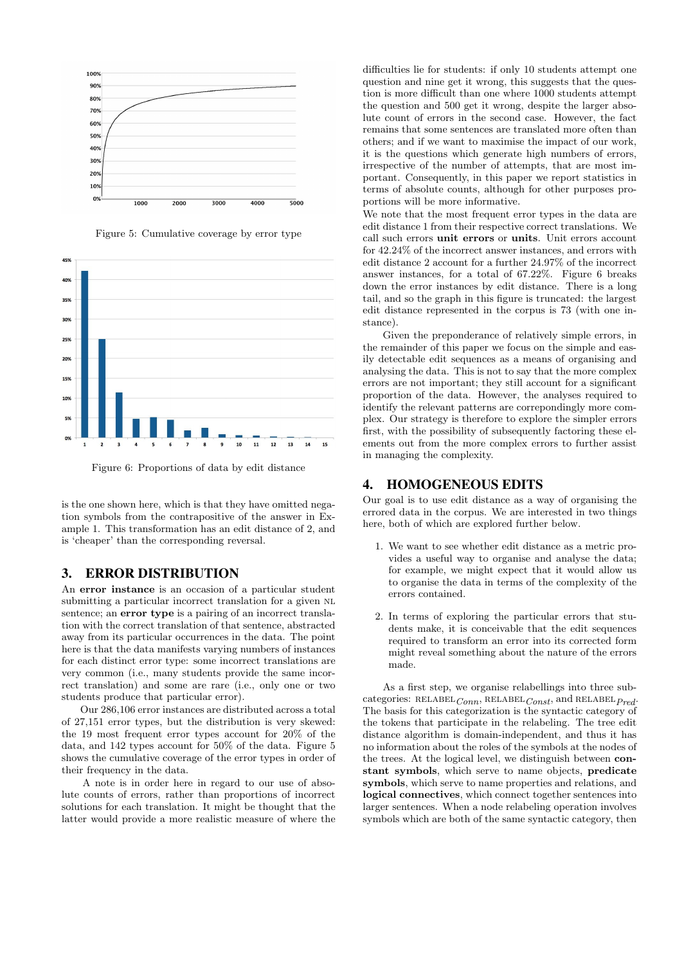





Figure 6: Proportions of data by edit distance

is the one shown here, which is that they have omitted negation symbols from the contrapositive of the answer in Example 1. This transformation has an edit distance of 2, and is 'cheaper' than the corresponding reversal.

#### 3. ERROR DISTRIBUTION

An error instance is an occasion of a particular student submitting a particular incorrect translation for a given NL sentence; an **error type** is a pairing of an incorrect translation with the correct translation of that sentence, abstracted away from its particular occurrences in the data. The point here is that the data manifests varying numbers of instances for each distinct error type: some incorrect translations are very common (i.e., many students provide the same incorrect translation) and some are rare (i.e., only one or two students produce that particular error).

Our 286,106 error instances are distributed across a total of 27,151 error types, but the distribution is very skewed: the 19 most frequent error types account for 20% of the data, and 142 types account for 50% of the data. Figure 5 shows the cumulative coverage of the error types in order of their frequency in the data.

A note is in order here in regard to our use of absolute counts of errors, rather than proportions of incorrect solutions for each translation. It might be thought that the latter would provide a more realistic measure of where the difficulties lie for students: if only 10 students attempt one question and nine get it wrong, this suggests that the question is more difficult than one where 1000 students attempt the question and 500 get it wrong, despite the larger absolute count of errors in the second case. However, the fact remains that some sentences are translated more often than others; and if we want to maximise the impact of our work, it is the questions which generate high numbers of errors, irrespective of the number of attempts, that are most important. Consequently, in this paper we report statistics in terms of absolute counts, although for other purposes proportions will be more informative.

We note that the most frequent error types in the data are edit distance 1 from their respective correct translations. We call such errors unit errors or units. Unit errors account for 42.24% of the incorrect answer instances, and errors with edit distance 2 account for a further 24.97% of the incorrect answer instances, for a total of 67.22%. Figure 6 breaks down the error instances by edit distance. There is a long tail, and so the graph in this figure is truncated: the largest edit distance represented in the corpus is 73 (with one instance).

Given the preponderance of relatively simple errors, in the remainder of this paper we focus on the simple and easily detectable edit sequences as a means of organising and analysing the data. This is not to say that the more complex errors are not important; they still account for a significant proportion of the data. However, the analyses required to identify the relevant patterns are correpondingly more complex. Our strategy is therefore to explore the simpler errors first, with the possibility of subsequently factoring these elements out from the more complex errors to further assist in managing the complexity.

#### 4. HOMOGENEOUS EDITS

Our goal is to use edit distance as a way of organising the errored data in the corpus. We are interested in two things here, both of which are explored further below.

- 1. We want to see whether edit distance as a metric provides a useful way to organise and analyse the data; for example, we might expect that it would allow us to organise the data in terms of the complexity of the errors contained.
- 2. In terms of exploring the particular errors that students make, it is conceivable that the edit sequences required to transform an error into its corrected form might reveal something about the nature of the errors made.

As a first step, we organise relabellings into three subcategories: RELABEL $_{Conn}$ , RELABEL $_{Const}$ , and RELABEL $_{Pred}$ . The basis for this categorization is the syntactic category of the tokens that participate in the relabeling. The tree edit distance algorithm is domain-independent, and thus it has no information about the roles of the symbols at the nodes of the trees. At the logical level, we distinguish between constant symbols, which serve to name objects, predicate symbols, which serve to name properties and relations, and logical connectives, which connect together sentences into larger sentences. When a node relabeling operation involves symbols which are both of the same syntactic category, then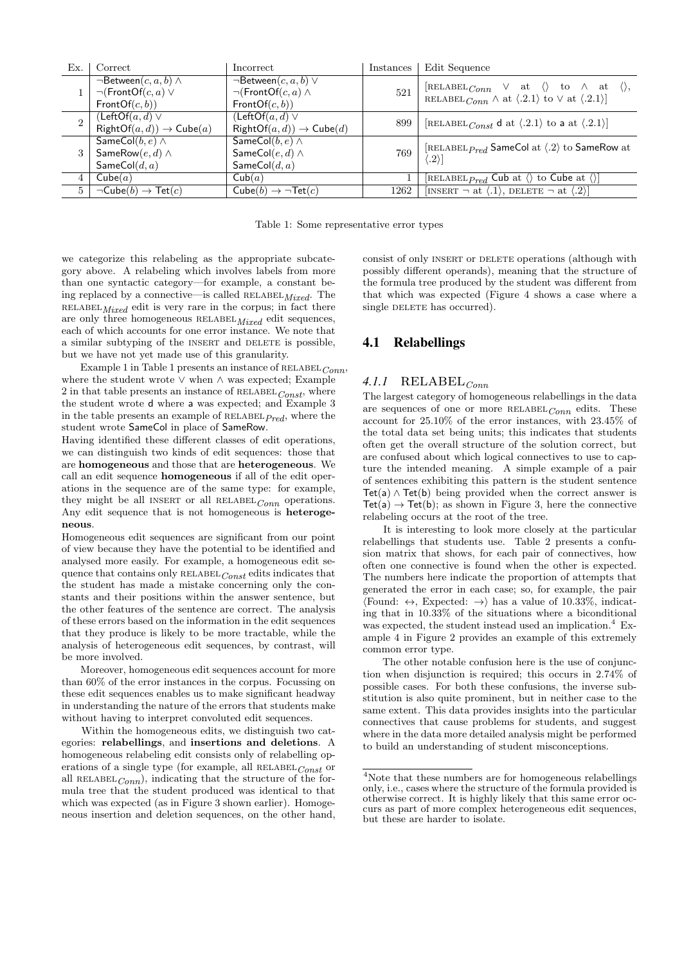| Ex.            | Correct                                                                                     | Incorrect                                                                                   | Instances | Edit Sequence                                                                                                                                                               |
|----------------|---------------------------------------------------------------------------------------------|---------------------------------------------------------------------------------------------|-----------|-----------------------------------------------------------------------------------------------------------------------------------------------------------------------------|
|                | $\neg$ Between $(c, a, b)$ $\wedge$<br>$\neg(\mathsf{FrontOf}(c, a) \vee$<br>FrontOf(c, b)) | $\neg$ Between $(c, a, b)$ $\vee$<br>$\neg(\mathsf{FrontOf}(c, a) \wedge$<br>FrontOf(c, b)) | 521       | [RELABEL $_{Conn} \vee$ at $\langle \rangle$ to $\wedge$ at $\langle \rangle$ ,<br>RELABEL $_{Conn} \wedge$ at $\langle .2.1 \rangle$ to $\vee$ at $\langle .2.1 \rangle$ ] |
| $\mathfrak{D}$ | $(LeftOf(a, d) \vee$<br>$RightOf(a, d)) \rightarrow Cube(a)$                                | $(LeftOf(a, d) \vee$<br>$RightOf(a, d)) \rightarrow Cube(d)$                                | 899       | [RELABEL Const d at $\langle .2.1 \rangle$ to a at $\langle .2.1 \rangle$ ]                                                                                                 |
|                | $\overline{\mathsf{SameCol}(b,e)} \wedge$<br>SameRow $(e, d) \wedge$<br>SameCol $(d, a)$    | SameCol $(b, e) \wedge$<br>SameCol $(e, d) \wedge$<br>SameCol $(d, a)$                      | 769       | [RELABEL $_{Pred}$ SameCol at $\langle .2 \rangle$ to SameRow at<br>$ 2\rangle$                                                                                             |
|                | Cube(a)                                                                                     | Cub(a)                                                                                      |           | [RELABEL $_{Pred}$ Cub at $\langle \rangle$ to Cube at $\langle \rangle$ ]                                                                                                  |
| 5              | $\neg$ Cube $(b) \rightarrow$ Tet $(c)$                                                     | $Cube(b) \rightarrow \neg Tet(c)$                                                           | 1262      | [INSERT $\neg$ at $\langle .1 \rangle$ , DELETE $\neg$ at $\langle .2 \rangle$ ]                                                                                            |

Table 1: Some representative error types

we categorize this relabeling as the appropriate subcategory above. A relabeling which involves labels from more than one syntactic category—for example, a constant being replaced by a connective—is called RELABEL  $Mixed$ . The  $RELABEL_{Mixed}$  edit is very rare in the corpus; in fact there are only three homogeneous  $RELABEL_{Mixed}$  edit sequences, each of which accounts for one error instance. We note that a similar subtyping of the INSERT and DELETE is possible, but we have not yet made use of this granularity.

Example 1 in Table 1 presents an instance of  $RELABEL_{Conn}$ where the student wrote ∨ when ∧ was expected; Example 2 in that table presents an instance of  $RELABEL_{Const}$ , where the student wrote d where a was expected; and Example 3 in the table presents an example of  $RELABEL$ <sub> $Pred$ </sub>, where the student wrote SameCol in place of SameRow.

Having identified these different classes of edit operations, we can distinguish two kinds of edit sequences: those that are homogeneous and those that are heterogeneous. We call an edit sequence **homogeneous** if all of the edit operations in the sequence are of the same type: for example, they might be all INSERT or all RELABEL<sub>Conn</sub> operations. Any edit sequence that is not homogeneous is heterogeneous.

Homogeneous edit sequences are significant from our point of view because they have the potential to be identified and analysed more easily. For example, a homogeneous edit sequence that contains only  $RELABEL_{Const}$  edits indicates that the student has made a mistake concerning only the constants and their positions within the answer sentence, but the other features of the sentence are correct. The analysis of these errors based on the information in the edit sequences that they produce is likely to be more tractable, while the analysis of heterogeneous edit sequences, by contrast, will be more involved.

Moreover, homogeneous edit sequences account for more than 60% of the error instances in the corpus. Focussing on these edit sequences enables us to make significant headway in understanding the nature of the errors that students make without having to interpret convoluted edit sequences.

Within the homogeneous edits, we distinguish two categories: relabellings, and insertions and deletions. A homogeneous relabeling edit consists only of relabelling operations of a single type (for example, all RELABEL  $_{Const}$  or all RELABEL $_{Conn}$ ), indicating that the structure of the formula tree that the student produced was identical to that which was expected (as in Figure 3 shown earlier). Homogeneous insertion and deletion sequences, on the other hand, consist of only INSERT or DELETE operations (although with possibly different operands), meaning that the structure of the formula tree produced by the student was different from that which was expected (Figure 4 shows a case where a single DELETE has occurred).

#### 4.1 Relabellings

## $4.1.1$  RELABEL<sub>Conn</sub>

The largest category of homogeneous relabellings in the data are sequences of one or more  $RELABEL_{Conn}$  edits. These account for 25.10% of the error instances, with 23.45% of the total data set being units; this indicates that students often get the overall structure of the solution correct, but are confused about which logical connectives to use to capture the intended meaning. A simple example of a pair of sentences exhibiting this pattern is the student sentence  $Tet(a) \wedge Tet(b)$  being provided when the correct answer is  $Tet(a) \rightarrow Tet(b)$ ; as shown in Figure 3, here the connective relabeling occurs at the root of the tree.

It is interesting to look more closely at the particular relabellings that students use. Table 2 presents a confusion matrix that shows, for each pair of connectives, how often one connective is found when the other is expected. The numbers here indicate the proportion of attempts that generated the error in each case; so, for example, the pair  $\text{Found: } \leftrightarrow$ , Expected:  $\rightarrow$  has a value of 10.33%, indicating that in 10.33% of the situations where a biconditional was expected, the student instead used an implication.<sup>4</sup> Example 4 in Figure 2 provides an example of this extremely common error type.

The other notable confusion here is the use of conjunction when disjunction is required; this occurs in 2.74% of possible cases. For both these confusions, the inverse substitution is also quite prominent, but in neither case to the same extent. This data provides insights into the particular connectives that cause problems for students, and suggest where in the data more detailed analysis might be performed to build an understanding of student misconceptions.

 ${}^{4}\rm{Note}$  that these numbers are for homogeneous relabellings only, i.e., cases where the structure of the formula provided is otherwise correct. It is highly likely that this same error occurs as part of more complex heterogeneous edit sequences, but these are harder to isolate.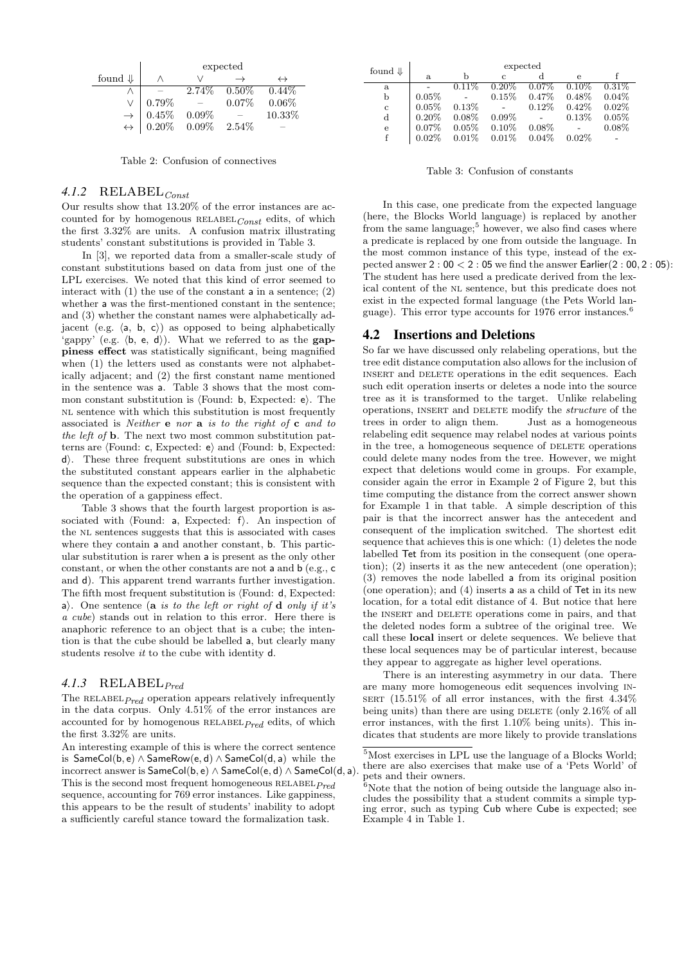|                    | expected                                                                                              |  |                 |                   |
|--------------------|-------------------------------------------------------------------------------------------------------|--|-----------------|-------------------|
| found $\Downarrow$ |                                                                                                       |  |                 | $\leftrightarrow$ |
|                    |                                                                                                       |  | $2.74\%$ 0.50\% | $0.44\%$          |
|                    | $0.79\%$                                                                                              |  | $0.07\%$        | 0.06%             |
|                    |                                                                                                       |  |                 | 10.33%            |
|                    | $\rightarrow \begin{array}{c} 0.45\% & 0.09\% \ \leftrightarrow & 0.20\% & 0.09\% \end{array}$ 2.54\% |  |                 |                   |

Table 2: Confusion of connectives

## $4.1.2$  RELABEL<sub>Const</sub>

Our results show that 13.20% of the error instances are accounted for by homogenous  $RELABEL_{Const}$  edits, of which the first 3.32% are units. A confusion matrix illustrating students' constant substitutions is provided in Table 3.

In [3], we reported data from a smaller-scale study of constant substitutions based on data from just one of the LPL exercises. We noted that this kind of error seemed to interact with  $(1)$  the use of the constant a in a sentence;  $(2)$ whether a was the first-mentioned constant in the sentence; and (3) whether the constant names were alphabetically adjacent (e.g.  $\langle a, b, c \rangle$ ) as opposed to being alphabetically 'gappy' (e.g.  $\langle b, e, d \rangle$ ). What we referred to as the **gap**piness effect was statistically significant, being magnified when (1) the letters used as constants were not alphabetically adjacent; and (2) the first constant name mentioned in the sentence was a. Table 3 shows that the most common constant substitution is  $\langle$ Found: b, Expected: e $\rangle$ . The NL sentence with which this substitution is most frequently associated is *Neither* **e** nor **a** is to the right of **c** and to the left of b. The next two most common substitution patterns are  $\langle$ Found: c, Expected: e $\rangle$  and  $\langle$ Found: b, Expected:  $d$ . These three frequent substitutions are ones in which the substituted constant appears earlier in the alphabetic sequence than the expected constant; this is consistent with the operation of a gappiness effect.

Table 3 shows that the fourth largest proportion is associated with  $\Phi$  a, Expected: f). An inspection of the NL sentences suggests that this is associated with cases where they contain a and another constant, **b**. This particular substitution is rarer when a is present as the only other constant, or when the other constants are not a and b (e.g., c and d). This apparent trend warrants further investigation. The fifth most frequent substitution is  $\ell$ Found: d, Expected: a). One sentence (a is to the left or right of d only if it's a cube) stands out in relation to this error. Here there is anaphoric reference to an object that is a cube; the intention is that the cube should be labelled a, but clearly many students resolve it to the cube with identity d.

#### 4.1.3 RELABEL $_{Pred}$

The RELABEL $_{Pred}$  operation appears relatively infrequently in the data corpus. Only 4.51% of the error instances are accounted for by homogenous  $RELABEL$ <sub> $Pred$ </sub> edits, of which the first 3.32% are units.

An interesting example of this is where the correct sentence is SameCol(b, e) ∧ SameRow(e, d) ∧ SameCol(d, a) while the incorrect answer is  $SameCol(b, e) \wedge SameCol(e, d) \wedge SameCol(d, a)$ . This is the second most frequent homogeneous  $RELABEL$ <sub> $Pred$ </sub> sequence, accounting for 769 error instances. Like gappiness, this appears to be the result of students' inability to adopt a sufficiently careful stance toward the formalization task.

| found $\Downarrow$ | expected |          |          |          |            |          |
|--------------------|----------|----------|----------|----------|------------|----------|
|                    | a.       | b        | C        |          | $\epsilon$ |          |
| a                  |          | $0.11\%$ | $0.20\%$ | $0.07\%$ | $0.10\%$   | $0.31\%$ |
| b                  | 0.05%    |          | 0.15%    | 0.47%    | $0.48\%$   | 0.04%    |
| $\mathbf{c}$       | 0.05%    | 0.13%    |          | 0.12%    | $0.42\%$   | 0.02%    |
| $\rm d$            | $0.20\%$ | $0.08\%$ | $0.09\%$ |          | 0.13%      | 0.05%    |
| e                  | 0.07%    | $0.05\%$ | 0.10%    | $0.08\%$ |            | $0.08\%$ |
|                    | 0.02%    | $0.01\%$ | 0.01%    | 0.04%    | $0.02\%$   |          |

Table 3: Confusion of constants

In this case, one predicate from the expected language (here, the Blocks World language) is replaced by another from the same language;<sup>5</sup> however, we also find cases where a predicate is replaced by one from outside the language. In the most common instance of this type, instead of the expected answer 2 : 00 < 2 : 05 we find the answer Earlier(2 : 00, 2 : 05): The student has here used a predicate derived from the lexical content of the NL sentence, but this predicate does not exist in the expected formal language (the Pets World language). This error type accounts for 1976 error instances.<sup>6</sup>

#### 4.2 Insertions and Deletions

So far we have discussed only relabeling operations, but the tree edit distance computation also allows for the inclusion of insert and delete operations in the edit sequences. Each such edit operation inserts or deletes a node into the source tree as it is transformed to the target. Unlike relabeling operations, insert and delete modify the structure of the trees in order to align them. Just as a homogeneous relabeling edit sequence may relabel nodes at various points in the tree, a homogeneous sequence of DELETE operations could delete many nodes from the tree. However, we might expect that deletions would come in groups. For example, consider again the error in Example 2 of Figure 2, but this time computing the distance from the correct answer shown for Example 1 in that table. A simple description of this pair is that the incorrect answer has the antecedent and consequent of the implication switched. The shortest edit sequence that achieves this is one which: (1) deletes the node labelled Tet from its position in the consequent (one operation); (2) inserts it as the new antecedent (one operation); (3) removes the node labelled a from its original position (one operation); and (4) inserts a as a child of Tet in its new location, for a total edit distance of 4. But notice that here the INSERT and DELETE operations come in pairs, and that the deleted nodes form a subtree of the original tree. We call these local insert or delete sequences. We believe that these local sequences may be of particular interest, because they appear to aggregate as higher level operations.

There is an interesting asymmetry in our data. There are many more homogeneous edit sequences involving in- $SERT$  (15.51% of all error instances, with the first  $4.34\%$ being units) than there are using DELETE (only  $2.16\%$  of all error instances, with the first 1.10% being units). This indicates that students are more likely to provide translations

 $5$  Most exercises in LPL use the language of a Blocks World; there are also exercises that make use of a 'Pets World' of pets and their owners.

 $6$ Note that the notion of being outside the language also includes the possibility that a student commits a simple typing error, such as typing Cub where Cube is expected; see Example 4 in Table 1.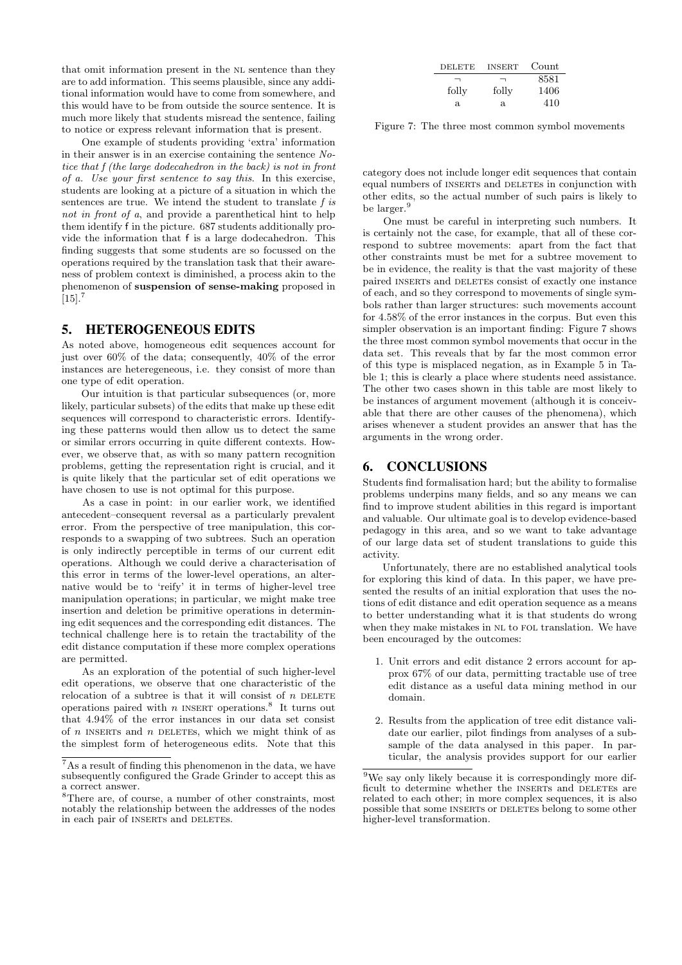that omit information present in the NL sentence than they are to add information. This seems plausible, since any additional information would have to come from somewhere, and this would have to be from outside the source sentence. It is much more likely that students misread the sentence, failing to notice or express relevant information that is present.

One example of students providing 'extra' information in their answer is in an exercise containing the sentence Notice that f (the large dodecahedron in the back) is not in front of a. Use your first sentence to say this. In this exercise, students are looking at a picture of a situation in which the sentences are true. We intend the student to translate f is not in front of a, and provide a parenthetical hint to help them identify f in the picture. 687 students additionally provide the information that f is a large dodecahedron. This finding suggests that some students are so focussed on the operations required by the translation task that their awareness of problem context is diminished, a process akin to the phenomenon of suspension of sense-making proposed in  $[15]$ .<sup>7</sup>

#### 5. HETEROGENEOUS EDITS

As noted above, homogeneous edit sequences account for just over 60% of the data; consequently, 40% of the error instances are heteregeneous, i.e. they consist of more than one type of edit operation.

Our intuition is that particular subsequences (or, more likely, particular subsets) of the edits that make up these edit sequences will correspond to characteristic errors. Identifying these patterns would then allow us to detect the same or similar errors occurring in quite different contexts. However, we observe that, as with so many pattern recognition problems, getting the representation right is crucial, and it is quite likely that the particular set of edit operations we have chosen to use is not optimal for this purpose.

As a case in point: in our earlier work, we identified antecedent–consequent reversal as a particularly prevalent error. From the perspective of tree manipulation, this corresponds to a swapping of two subtrees. Such an operation is only indirectly perceptible in terms of our current edit operations. Although we could derive a characterisation of this error in terms of the lower-level operations, an alternative would be to 'reify' it in terms of higher-level tree manipulation operations; in particular, we might make tree insertion and deletion be primitive operations in determining edit sequences and the corresponding edit distances. The technical challenge here is to retain the tractability of the edit distance computation if these more complex operations are permitted.

As an exploration of the potential of such higher-level edit operations, we observe that one characteristic of the relocation of a subtree is that it will consist of  $n$  DELETE operations paired with n INSERT operations.<sup>8</sup> It turns out that 4.94% of the error instances in our data set consist of  $n$  INSERTS and  $n$  DELETES, which we might think of as the simplest form of heterogeneous edits. Note that this

| <b>DELETE</b> | <b>INSERT</b> | Count |
|---------------|---------------|-------|
| ⇁             | ⊣             | 8581  |
| folly         | folly         | 1406  |
| a.            | a.            | 410   |

Figure 7: The three most common symbol movements

category does not include longer edit sequences that contain equal numbers of INSERTS and DELETES in conjunction with other edits, so the actual number of such pairs is likely to be larger.<sup>9</sup>

One must be careful in interpreting such numbers. It is certainly not the case, for example, that all of these correspond to subtree movements: apart from the fact that other constraints must be met for a subtree movement to be in evidence, the reality is that the vast majority of these paired INSERTs and DELETES consist of exactly one instance of each, and so they correspond to movements of single symbols rather than larger structures: such movements account for 4.58% of the error instances in the corpus. But even this simpler observation is an important finding: Figure 7 shows the three most common symbol movements that occur in the data set. This reveals that by far the most common error of this type is misplaced negation, as in Example 5 in Table 1; this is clearly a place where students need assistance. The other two cases shown in this table are most likely to be instances of argument movement (although it is conceivable that there are other causes of the phenomena), which arises whenever a student provides an answer that has the arguments in the wrong order.

#### 6. CONCLUSIONS

Students find formalisation hard; but the ability to formalise problems underpins many fields, and so any means we can find to improve student abilities in this regard is important and valuable. Our ultimate goal is to develop evidence-based pedagogy in this area, and so we want to take advantage of our large data set of student translations to guide this activity.

Unfortunately, there are no established analytical tools for exploring this kind of data. In this paper, we have presented the results of an initial exploration that uses the notions of edit distance and edit operation sequence as a means to better understanding what it is that students do wrong when they make mistakes in NL to FOL translation. We have been encouraged by the outcomes:

- 1. Unit errors and edit distance 2 errors account for approx 67% of our data, permitting tractable use of tree edit distance as a useful data mining method in our domain.
- 2. Results from the application of tree edit distance validate our earlier, pilot findings from analyses of a subsample of the data analysed in this paper. In particular, the analysis provides support for our earlier

 $7\,\mathrm{As}$  a result of finding this phenomenon in the data, we have subsequently configured the Grade Grinder to accept this as a correct answer.

<sup>8</sup>There are, of course, a number of other constraints, most notably the relationship between the addresses of the nodes in each pair of INSERTs and DELETES.

 $9$ We say only likely because it is correspondingly more difficult to determine whether the INSERTs and DELETES are related to each other; in more complex sequences, it is also possible that some INSERTS or DELETES belong to some other higher-level transformation.